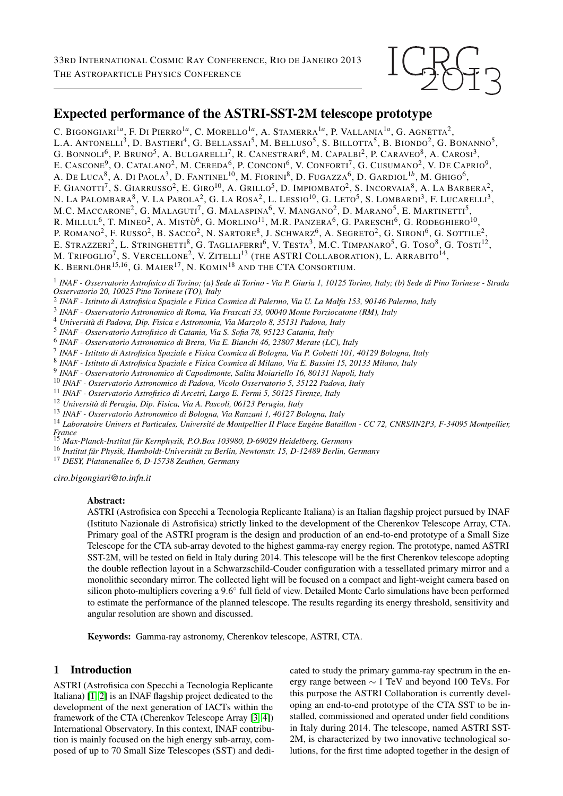

# Expected performance of the ASTRI-SST-2M telescope prototype

C. Bigongiari<sup>1a</sup>, F. Di Pierro<sup>1a</sup>, C. Morello<sup>1a</sup>, A. Stamerra<sup>1a</sup>, P. Vallania<sup>1a</sup>, G. Agnetta<sup>2</sup>, L.A. Antonelli<sup>3</sup>, D. Bastieri<sup>4</sup>, G. Bellassai<sup>5</sup>, M. Belluso<sup>5</sup>, S. Billotta<sup>5</sup>, B. Biondo<sup>2</sup>, G. Bonanno<sup>5</sup>, G. BONNOLI<sup>6</sup>, P. Bruno<sup>5</sup>, A. Bulgarelli<sup>7</sup>, R. Canestrari<sup>6</sup>, M. Capalbi<sup>2</sup>, P. Caraveo<sup>8</sup>, A. Carosi<sup>3</sup>, E. CASCONE<sup>9</sup>, O. Catalano<sup>2</sup>, M. Cereda<sup>6</sup>, P. Conconi<sup>6</sup>, V. Conforti<sup>7</sup>, G. Cusumano<sup>2</sup>, V. De Caprio<sup>9</sup>, A. De Luca<sup>8</sup>, A. Di Paola<sup>3</sup>, D. Fantinel<sup>10</sup>, M. Fiorini<sup>8</sup>, D. Fugazza<sup>6</sup>, D. Gardiol<sup>1b</sup>, M. Ghigo<sup>6</sup>, F. GIANOTTI<sup>7</sup>, S. GIARRUSSO<sup>2</sup>, E. GIRO<sup>10</sup>, A. GRILLO<sup>5</sup>, D. IMPIOMBATO<sup>2</sup>, S. Incorvaia<sup>8</sup>, A. La Barbera<sup>2</sup>, N. LA PALOMBARA $^8$ , V. La Parola $^2$ , G. La Rosa $^2$ , L. Lessio $^{10}$ , G. Leto $^5$ , S. Lombardi $^3$ , F. Lucarelli $^3$ , M.C. MACCARONE<sup>2</sup>, G. Malaguti<sup>7</sup>, G. Malaspina<sup>6</sup>, V. Mangano<sup>2</sup>, D. Marano<sup>5</sup>, E. Martinetti<sup>5</sup>, R. Millul<sup>6</sup>, T. Mineo<sup>2</sup>, A. Mistò<sup>6</sup>, G. Morlino<sup>11</sup>, M.R. Panzera<sup>6</sup>, G. Pareschi<sup>6</sup>, G. Rodeghiero<sup>10</sup>, P. ROMANO<sup>2</sup>, F. Russo<sup>2</sup>, B. Sacco<sup>2</sup>, N. Sartore<sup>8</sup>, J. Schwarz<sup>6</sup>, A. Segreto<sup>2</sup>, G. Sironi<sup>6</sup>, G. Sottile<sup>2</sup>, E. STRAZZERI<sup>2</sup>, L. STRINGHETTI<sup>8</sup>, G. TAGLIAFERRI<sup>6</sup>, V. TESTA<sup>3</sup>, M.C. TIMPANARO<sup>5</sup>, G. TOSO<sup>8</sup>, G. TOSTI<sup>12</sup>, M. Trifoglio<sup>7</sup>, S. Vercellone<sup>2</sup>, V. Zitelli<sup>13</sup> (the ASTRI Collaboration), L. Arrabito<sup>14</sup>, K. Bernlöhr $^{15,16}$ , G. Maier $^{17}$ , N. Komin $^{18}$  and the CTA Consortium.

1 *INAF - Osservatorio Astrofisico di Torino; (a) Sede di Torino - Via P. Giuria 1, 10125 Torino, Italy; (b) Sede di Pino Torinese - Strada Osservatorio 20, 10025 Pino Torinese (TO), Italy*

2 *INAF - Istituto di Astrofisica Spaziale e Fisica Cosmica di Palermo, Via U. La Malfa 153, 90146 Palermo, Italy*

3 *INAF - Osservatorio Astronomico di Roma, Via Frascati 33, 00040 Monte Porziocatone (RM), Italy*

<sup>4</sup> *Universita di Padova, Dip. Fisica e Astronomia, Via Marzolo 8, 35131 Padova, Italy `*

5 *INAF - Osservatorio Astrofisico di Catania, Via S. Sofia 78, 95123 Catania, Italy*

6 *INAF - Osservatorio Astronomico di Brera, Via E. Bianchi 46, 23807 Merate (LC), Italy*

7 *INAF - Istituto di Astrofisica Spaziale e Fisica Cosmica di Bologna, Via P. Gobetti 101, 40129 Bologna, Italy*

8 *INAF - Istituto di Astrofisica Spaziale e Fisica Cosmica di Milano, Via E. Bassini 15, 20133 Milano, Italy*

9 *INAF - Osservatorio Astronomico di Capodimonte, Salita Moiariello 16, 80131 Napoli, Italy*

<sup>10</sup> *INAF - Osservatorio Astronomico di Padova, Vicolo Osservatorio 5, 35122 Padova, Italy*

<sup>11</sup> *INAF - Osservatorio Astrofisico di Arcetri, Largo E. Fermi 5, 50125 Firenze, Italy*

<sup>12</sup> *Universita di Perugia, Dip. Fisica, Via A. Pascoli, 06123 Perugia, Italy `*

<sup>13</sup> *INAF - Osservatorio Astronomico di Bologna, Via Ranzani 1, 40127 Bologna, Italy*

<sup>14</sup> Laboratoire Univers et Particules, Université de Montpellier II Place Eugéne Bataillon - CC 72, CNRS/IN2P3, F-34095 Montpellier,

*France* <sup>15</sup> *Max-Planck-Institut fur Kernphysik, P.O.Box 103980, D-69029 Heidelberg, Germany ¨*

<sup>16</sup> Institut für Physik, Humboldt-Universität zu Berlin, Newtonstr. 15, D-12489 Berlin, Germany

<sup>17</sup> *DESY, Platanenallee 6, D-15738 Zeuthen, Germany*

*ciro.bigongiari@to.infn.it*

#### Abstract:

ASTRI (Astrofisica con Specchi a Tecnologia Replicante Italiana) is an Italian flagship project pursued by INAF (Istituto Nazionale di Astrofisica) strictly linked to the development of the Cherenkov Telescope Array, CTA. Primary goal of the ASTRI program is the design and production of an end-to-end prototype of a Small Size Telescope for the CTA sub-array devoted to the highest gamma-ray energy region. The prototype, named ASTRI SST-2M, will be tested on field in Italy during 2014. This telescope will be the first Cherenkov telescope adopting the double reflection layout in a Schwarzschild-Couder configuration with a tessellated primary mirror and a monolithic secondary mirror. The collected light will be focused on a compact and light-weight camera based on silicon photo-multipliers covering a 9.6° full field of view. Detailed Monte Carlo simulations have been performed to estimate the performance of the planned telescope. The results regarding its energy threshold, sensitivity and angular resolution are shown and discussed.

Keywords: Gamma-ray astronomy, Cherenkov telescope, ASTRI, CTA.

# 1 Introduction

ASTRI (Astrofisica con Specchi a Tecnologia Replicante Italiana) [\[1,](#page-3-0) [2\]](#page-3-1) is an INAF flagship project dedicated to the development of the next generation of IACTs within the framework of the CTA (Cherenkov Telescope Array [\[3,](#page-3-2) [4\]](#page-3-3)) International Observatory. In this context, INAF contribution is mainly focused on the high energy sub-array, composed of up to 70 Small Size Telescopes (SST) and dedicated to study the primary gamma-ray spectrum in the energy range between ∼ 1 TeV and beyond 100 TeVs. For this purpose the ASTRI Collaboration is currently developing an end-to-end prototype of the CTA SST to be installed, commissioned and operated under field conditions in Italy during 2014. The telescope, named ASTRI SST-2M, is characterized by two innovative technological solutions, for the first time adopted together in the design of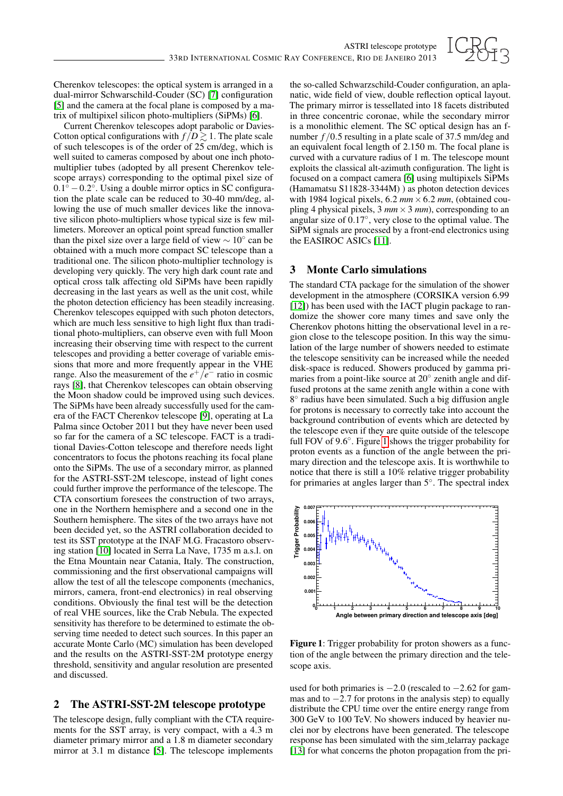

Cherenkov telescopes: the optical system is arranged in a dual-mirror Schwarschild-Couder (SC) [\[7\]](#page-3-4) configuration [\[5\]](#page-3-5) and the camera at the focal plane is composed by a matrix of multipixel silicon photo-multipliers (SiPMs) [\[6\]](#page-3-6).

Current Cherenkov telescopes adopt parabolic or Davies-Cotton optical configurations with  $f/D \gtrsim 1$ . The plate scale of such telescopes is of the order of 25 cm/deg, which is well suited to cameras composed by about one inch photomultiplier tubes (adopted by all present Cherenkov telescope arrays) corresponding to the optimal pixel size of  $0.1^{\circ} - 0.2^{\circ}$ . Using a double mirror optics in SC configuration the plate scale can be reduced to 30-40 mm/deg, allowing the use of much smaller devices like the innovative silicon photo-multipliers whose typical size is few millimeters. Moreover an optical point spread function smaller than the pixel size over a large field of view  $\sim 10^{\circ}$  can be obtained with a much more compact SC telescope than a traditional one. The silicon photo-multiplier technology is developing very quickly. The very high dark count rate and optical cross talk affecting old SiPMs have been rapidly decreasing in the last years as well as the unit cost, while the photon detection efficiency has been steadily increasing. Cherenkov telescopes equipped with such photon detectors, which are much less sensitive to high light flux than traditional photo-multipliers, can observe even with full Moon increasing their observing time with respect to the current telescopes and providing a better coverage of variable emissions that more and more frequently appear in the VHE range. Also the measurement of the  $e^+/e^-$  ratio in cosmic rays [\[8\]](#page-3-7), that Cherenkov telescopes can obtain observing the Moon shadow could be improved using such devices. The SiPMs have been already successfully used for the camera of the FACT Cherenkov telescope [\[9\]](#page-3-8), operating at La Palma since October 2011 but they have never been used so far for the camera of a SC telescope. FACT is a traditional Davies-Cotton telescope and therefore needs light concentrators to focus the photons reaching its focal plane onto the SiPMs. The use of a secondary mirror, as planned for the ASTRI-SST-2M telescope, instead of light cones could further improve the performance of the telescope. The CTA consortium foresees the construction of two arrays, one in the Northern hemisphere and a second one in the Southern hemisphere. The sites of the two arrays have not been decided yet, so the ASTRI collaboration decided to test its SST prototype at the INAF M.G. Fracastoro observing station [\[10\]](#page-3-9) located in Serra La Nave, 1735 m a.s.l. on the Etna Mountain near Catania, Italy. The construction, commissioning and the first observational campaigns will allow the test of all the telescope components (mechanics, mirrors, camera, front-end electronics) in real observing conditions. Obviously the final test will be the detection of real VHE sources, like the Crab Nebula. The expected sensitivity has therefore to be determined to estimate the observing time needed to detect such sources. In this paper an accurate Monte Carlo (MC) simulation has been developed and the results on the ASTRI-SST-2M prototype energy threshold, sensitivity and angular resolution are presented and discussed.

### 2 The ASTRI-SST-2M telescope prototype

The telescope design, fully compliant with the CTA requirements for the SST array, is very compact, with a 4.3 m diameter primary mirror and a 1.8 m diameter secondary mirror at 3.1 m distance [\[5\]](#page-3-5). The telescope implements the so-called Schwarzschild-Couder configuration, an aplanatic, wide field of view, double reflection optical layout. The primary mirror is tessellated into 18 facets distributed in three concentric coronae, while the secondary mirror is a monolithic element. The SC optical design has an fnumber  $f/0.5$  resulting in a plate scale of 37.5 mm/deg and an equivalent focal length of 2.150 m. The focal plane is curved with a curvature radius of 1 m. The telescope mount exploits the classical alt-azimuth configuration. The light is focused on a compact camera [\[6\]](#page-3-6) using multipixels SiPMs (Hamamatsu S11828-3344M) ) as photon detection devices with 1984 logical pixels,  $6.2 \, \text{mm} \times 6.2 \, \text{mm}$ , (obtained coupling 4 physical pixels,  $3 \, mm \times 3 \, mm$ ), corresponding to an angular size of 0.17◦ , very close to the optimal value. The SiPM signals are processed by a front-end electronics using the EASIROC ASICs [\[11\]](#page-3-10).

### 3 Monte Carlo simulations

The standard CTA package for the simulation of the shower development in the atmosphere (CORSIKA version 6.99 [\[12\]](#page-3-11)) has been used with the IACT plugin package to randomize the shower core many times and save only the Cherenkov photons hitting the observational level in a region close to the telescope position. In this way the simulation of the large number of showers needed to estimate the telescope sensitivity can be increased while the needed disk-space is reduced. Showers produced by gamma primaries from a point-like source at 20° zenith angle and diffused protons at the same zenith angle within a cone with 8 ◦ radius have been simulated. Such a big diffusion angle for protons is necessary to correctly take into account the background contribution of events which are detected by the telescope even if they are quite outside of the telescope full FOV of 9.6°. Figure [1](#page-1-0) shows the trigger probability for proton events as a function of the angle between the primary direction and the telescope axis. It is worthwhile to notice that there is still a 10% relative trigger probability for primaries at angles larger than 5°. The spectral index



<span id="page-1-0"></span>Figure 1: Trigger probability for proton showers as a function of the angle between the primary direction and the telescope axis.

used for both primaries is  $-2.0$  (rescaled to  $-2.62$  for gammas and to  $-2.7$  for protons in the analysis step) to equally distribute the CPU time over the entire energy range from 300 GeV to 100 TeV. No showers induced by heavier nuclei nor by electrons have been generated. The telescope response has been simulated with the sim telarray package [\[13\]](#page-3-12) for what concerns the photon propagation from the pri-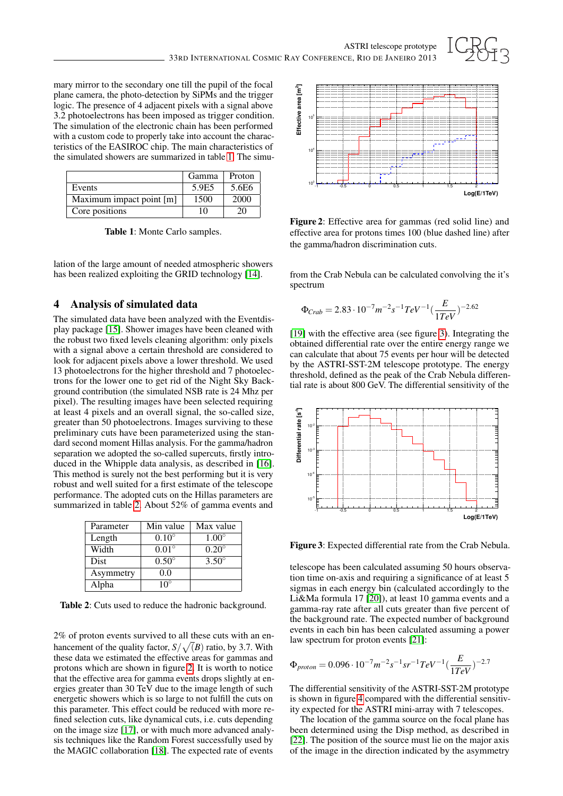

mary mirror to the secondary one till the pupil of the focal plane camera, the photo-detection by SiPMs and the trigger logic. The presence of 4 adjacent pixels with a signal above 3.2 photoelectrons has been imposed as trigger condition. The simulation of the electronic chain has been performed with a custom code to properly take into account the characteristics of the EASIROC chip. The main characteristics of the simulated showers are summarized in table [1.](#page-2-0) The simu-

|                          | Gamma | Proton |
|--------------------------|-------|--------|
| Events                   | 5.9E5 | 5.6E6  |
| Maximum impact point [m] | 1500  | 2000   |
| Core positions           | 10    | 20     |

<span id="page-2-0"></span>Table 1: Monte Carlo samples.

lation of the large amount of needed atmospheric showers has been realized exploiting the GRID technology [\[14\]](#page-3-13).

## 4 Analysis of simulated data

The simulated data have been analyzed with the Eventdisplay package [\[15\]](#page-3-14). Shower images have been cleaned with the robust two fixed levels cleaning algorithm: only pixels with a signal above a certain threshold are considered to look for adjacent pixels above a lower threshold. We used 13 photoelectrons for the higher threshold and 7 photoelectrons for the lower one to get rid of the Night Sky Background contribution (the simulated NSB rate is 24 Mhz per pixel). The resulting images have been selected requiring at least 4 pixels and an overall signal, the so-called size, greater than 50 photoelectrons. Images surviving to these preliminary cuts have been parameterized using the standard second moment Hillas analysis. For the gamma/hadron separation we adopted the so-called supercuts, firstly introduced in the Whipple data analysis, as described in [\[16\]](#page-3-15). This method is surely not the best performing but it is very robust and well suited for a first estimate of the telescope performance. The adopted cuts on the Hillas parameters are summarized in table [2.](#page-2-1) About 52% of gamma events and

| Parameter | Min value    | Max value      |
|-----------|--------------|----------------|
| Length    | $0.10^\circ$ | $1.00^\circ$   |
| Width     | $0.01^\circ$ | $0.20^\circ$   |
| Dist      | $0.50^\circ$ | $3.50^{\circ}$ |
| Asymmetry | 0.0          |                |
| Alpha     | $10^{\circ}$ |                |

<span id="page-2-1"></span>Table 2: Cuts used to reduce the hadronic background.

2% of proton events survived to all these cuts with an enhancement of the quality factor,  $S/\sqrt(B)$  ratio, by 3.7. With these data we estimated the effective areas for gammas and protons which are shown in figure [2.](#page-2-2) It is worth to notice that the effective area for gamma events drops slightly at energies greater than 30 TeV due to the image length of such energetic showers which is so large to not fulfill the cuts on this parameter. This effect could be reduced with more refined selection cuts, like dynamical cuts, i.e. cuts depending on the image size [\[17\]](#page-3-16), or with much more advanced analysis techniques like the Random Forest successfully used by the MAGIC collaboration [\[18\]](#page-3-17). The expected rate of events



<span id="page-2-2"></span>Figure 2: Effective area for gammas (red solid line) and effective area for protons times 100 (blue dashed line) after the gamma/hadron discrimination cuts.

from the Crab Nebula can be calculated convolving the it's spectrum

$$
\Phi_{Crab} = 2.83 \cdot 10^{-7} m^{-2} s^{-1} TeV^{-1} (\frac{E}{1 TeV})^{-2.62}
$$

[\[19\]](#page-3-18) with the effective area (see figure [3\)](#page-2-3). Integrating the obtained differential rate over the entire energy range we can calculate that about 75 events per hour will be detected by the ASTRI-SST-2M telescope prototype. The energy threshold, defined as the peak of the Crab Nebula differential rate is about 800 GeV. The differential sensitivity of the



<span id="page-2-3"></span>Figure 3: Expected differential rate from the Crab Nebula.

telescope has been calculated assuming 50 hours observation time on-axis and requiring a significance of at least 5 sigmas in each energy bin (calculated accordingly to the Li&Ma formula 17 [\[20\]](#page-3-19)), at least 10 gamma events and a gamma-ray rate after all cuts greater than five percent of the background rate. The expected number of background events in each bin has been calculated assuming a power law spectrum for proton events [\[21\]](#page-3-20):

$$
\Phi_{proton} = 0.096 \cdot 10^{-7} m^{-2} s^{-1} s r^{-1} TeV^{-1} (\frac{E}{1 TeV})^{-2.7}
$$

The differential sensitivity of the ASTRI-SST-2M prototype is shown in figure [4](#page-3-21) compared with the differential sensitivity expected for the ASTRI mini-array with 7 telescopes.

The location of the gamma source on the focal plane has been determined using the Disp method, as described in [\[22\]](#page-3-22). The position of the source must lie on the major axis of the image in the direction indicated by the asymmetry